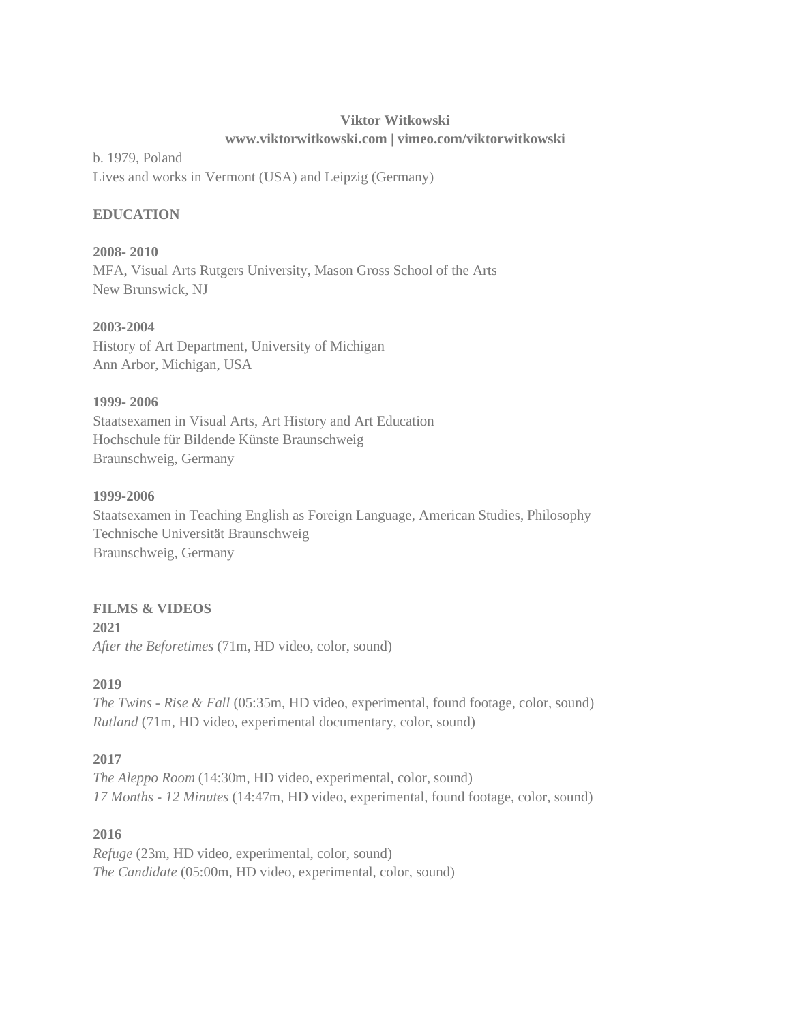## **Viktor Witkowski www.viktorwitkowski.com | vimeo.com/viktorwitkowski**

b. 1979, Poland Lives and works in Vermont (USA) and Leipzig (Germany)

## **EDUCATION**

**2008- 2010** MFA, Visual Arts Rutgers University, Mason Gross School of the Arts New Brunswick, NJ

## **2003-2004**

History of Art Department, University of Michigan Ann Arbor, Michigan, USA

## **1999- 2006**

Staatsexamen in Visual Arts, Art History and Art Education Hochschule für Bildende Künste Braunschweig Braunschweig, Germany

## **1999-2006**

Staatsexamen in Teaching English as Foreign Language, American Studies, Philosophy Technische Universität Braunschweig Braunschweig, Germany

## **FILMS & VIDEOS**

**2021** *After the Beforetimes* (71m, HD video, color, sound)

# **2019**

*The Twins - Rise & Fall* (05:35m, HD video, experimental, found footage, color, sound) *Rutland* (71m, HD video, experimental documentary, color, sound)

# **2017**

*The Aleppo Room* (14:30m, HD video, experimental, color, sound) *17 Months - 12 Minutes* (14:47m, HD video, experimental, found footage, color, sound)

# **2016**

*Refuge* (23m, HD video, experimental, color, sound) *The Candidate* (05:00m, HD video, experimental, color, sound)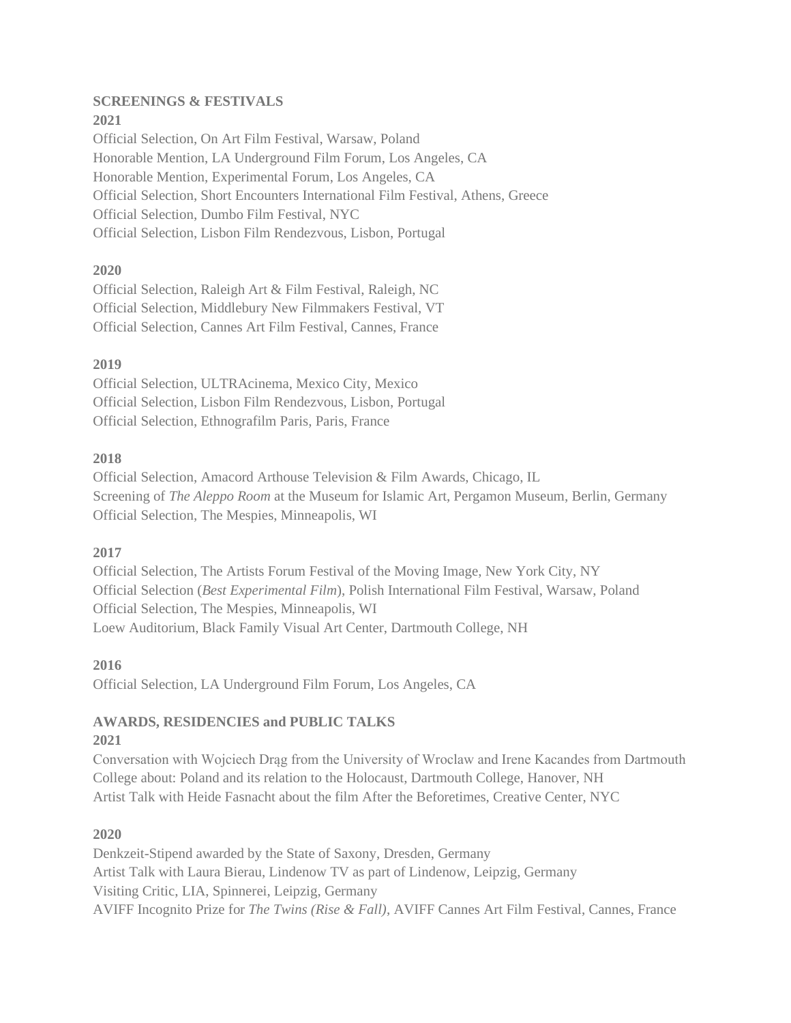#### **SCREENINGS & FESTIVALS 2021**

Official Selection, On Art Film Festival, Warsaw, Poland Honorable Mention, LA Underground Film Forum, Los Angeles, CA Honorable Mention, Experimental Forum, Los Angeles, CA Official Selection, Short Encounters International Film Festival, Athens, Greece Official Selection, Dumbo Film Festival, NYC Official Selection, Lisbon Film Rendezvous, Lisbon, Portugal

## **2020**

Official Selection, Raleigh Art & Film Festival, Raleigh, NC Official Selection, Middlebury New Filmmakers Festival, VT Official Selection, Cannes Art Film Festival, Cannes, France

## **2019**

Official Selection, ULTRAcinema, Mexico City, Mexico Official Selection, Lisbon Film Rendezvous, Lisbon, Portugal Official Selection, Ethnografilm Paris, Paris, France

## **2018**

Official Selection, Amacord Arthouse Television & Film Awards, Chicago, IL Screening of *The Aleppo Room* at the Museum for Islamic Art, Pergamon Museum, Berlin, Germany Official Selection, The Mespies, Minneapolis, WI

## **2017**

Official Selection, The Artists Forum Festival of the Moving Image, New York City, NY Official Selection (*Best Experimental Film*), Polish International Film Festival, Warsaw, Poland Official Selection, The Mespies, Minneapolis, WI Loew Auditorium, Black Family Visual Art Center, Dartmouth College, NH

#### **2016**

Official Selection, LA Underground Film Forum, Los Angeles, CA

# **AWARDS, RESIDENCIES and PUBLIC TALKS**

#### **2021**

Conversation with Wojciech Drąg from the University of Wroclaw and Irene Kacandes from Dartmouth College about: Poland and its relation to the Holocaust, Dartmouth College, Hanover, NH Artist Talk with Heide Fasnacht about the film After the Beforetimes, Creative Center, NYC

## **2020**

Denkzeit-Stipend awarded by the State of Saxony, Dresden, Germany Artist Talk with Laura Bierau, Lindenow TV as part of Lindenow, Leipzig, Germany Visiting Critic, LIA, Spinnerei, Leipzig, Germany AVIFF Incognito Prize for *The Twins (Rise & Fall)*, AVIFF Cannes Art Film Festival, Cannes, France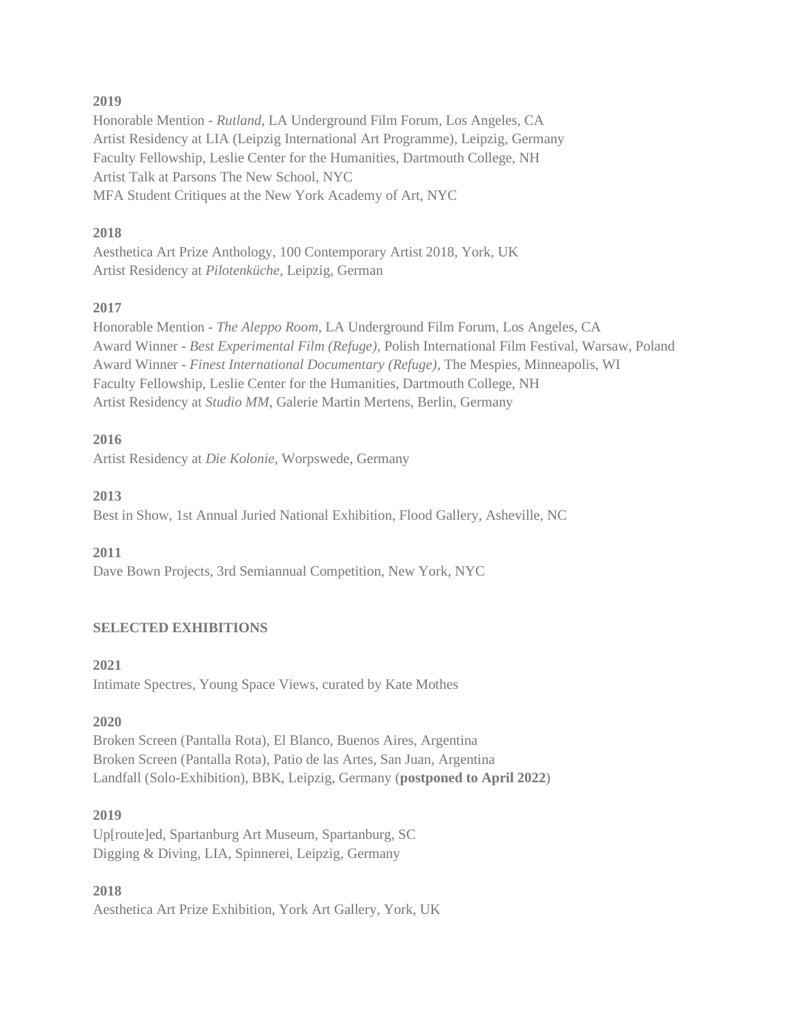#### **2019**

Honorable Mention - *Rutland*, LA Underground Film Forum, Los Angeles, CA Artist Residency at LIA (Leipzig International Art Programme), Leipzig, Germany Faculty Fellowship, Leslie Center for the Humanities, Dartmouth College, NH Artist Talk at Parsons The New School, NYC MFA Student Critiques at the New York Academy of Art, NYC

#### **2018**

Aesthetica Art Prize Anthology, 100 Contemporary Artist 2018, York, UK Artist Residency at *Pilotenküche*, Leipzig, German

## **2017**

Honorable Mention - *The Aleppo Room*, LA Underground Film Forum, Los Angeles, CA Award Winner - *Best Experimental Film (Refuge)*, Polish International Film Festival, Warsaw, Poland Award Winner - *Finest International Documentary (Refuge)*, The Mespies, Minneapolis, WI Faculty Fellowship, Leslie Center for the Humanities, Dartmouth College, NH Artist Residency at *Studio MM*, Galerie Martin Mertens, Berlin, Germany

## **2016**

Artist Residency at *Die Kolonie,* Worpswede, Germany

## **2013**

Best in Show, 1st Annual Juried National Exhibition, Flood Gallery, Asheville, NC

## **2011**

Dave Bown Projects, 3rd Semiannual Competition, New York, NYC

## **SELECTED EXHIBITIONS**

**2021** Intimate Spectres, Young Space Views, curated by Kate Mothes

## **2020**

Broken Screen (Pantalla Rota), El Blanco, Buenos Aires, Argentina Broken Screen (Pantalla Rota), Patio de las Artes, San Juan, Argentina Landfall (Solo-Exhibition), BBK, Leipzig, Germany (**postponed to April 2022**)

#### **2019**

Up[route]ed, Spartanburg Art Museum, Spartanburg, SC Digging & Diving, LIA, Spinnerei, Leipzig, Germany

#### **2018** Aesthetica Art Prize Exhibition, York Art Gallery, York, UK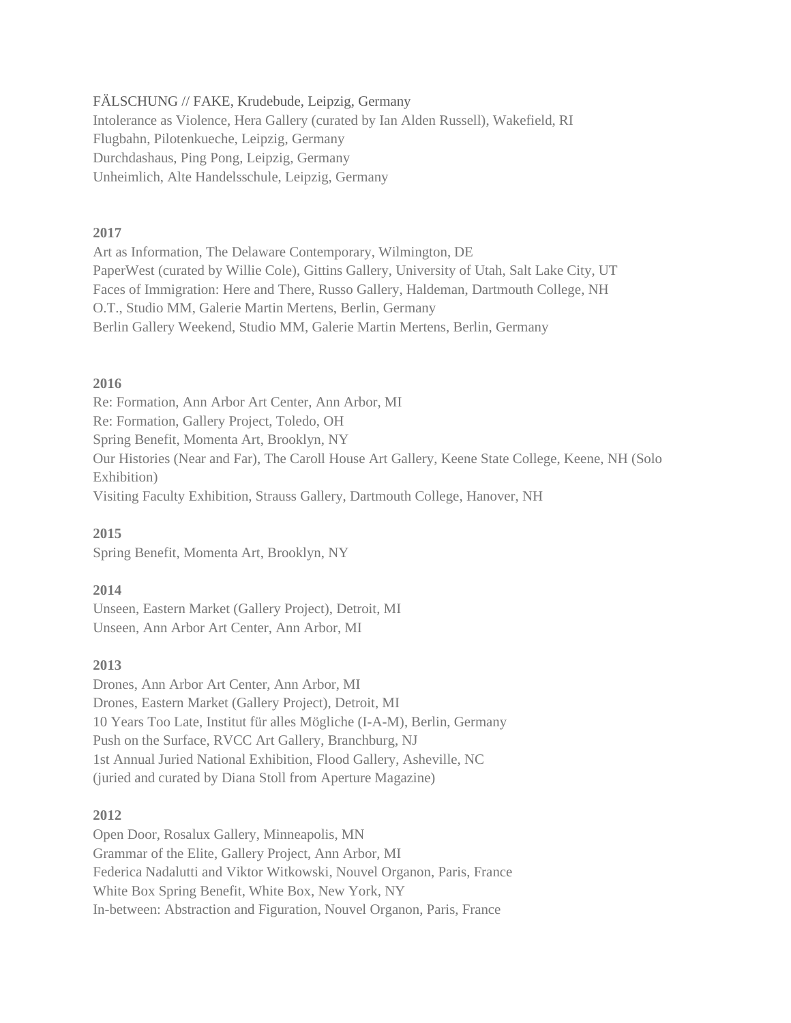FÄLSCHUNG // FAKE, Krudebude, Leipzig, Germany Intolerance as Violence, Hera Gallery (curated by Ian Alden Russell), Wakefield, RI Flugbahn, Pilotenkueche, Leipzig, Germany Durchdashaus, Ping Pong, Leipzig, Germany Unheimlich, Alte Handelsschule, Leipzig, Germany

#### **2017**

Art as Information, The Delaware Contemporary, Wilmington, DE PaperWest (curated by Willie Cole), Gittins Gallery, University of Utah, Salt Lake City, UT Faces of Immigration: Here and There, Russo Gallery, Haldeman, Dartmouth College, NH O.T., Studio MM, Galerie Martin Mertens, Berlin, Germany Berlin Gallery Weekend, Studio MM, Galerie Martin Mertens, Berlin, Germany

#### **2016**

Re: Formation, Ann Arbor Art Center, Ann Arbor, MI Re: Formation, Gallery Project, Toledo, OH Spring Benefit, Momenta Art, Brooklyn, NY Our Histories (Near and Far), The Caroll House Art Gallery, Keene State College, Keene, NH (Solo Exhibition) Visiting Faculty Exhibition, Strauss Gallery, Dartmouth College, Hanover, NH

#### **2015**

Spring Benefit, Momenta Art, Brooklyn, NY

#### **2014**

Unseen, Eastern Market (Gallery Project), Detroit, MI Unseen, Ann Arbor Art Center, Ann Arbor, MI

#### **2013**

Drones, Ann Arbor Art Center, Ann Arbor, MI Drones, Eastern Market (Gallery Project), Detroit, MI 10 Years Too Late, Institut für alles Mögliche (I-A-M), Berlin, Germany Push on the Surface, RVCC Art Gallery, Branchburg, NJ 1st Annual Juried National Exhibition, Flood Gallery, Asheville, NC (juried and curated by Diana Stoll from Aperture Magazine)

#### **2012**

Open Door, Rosalux Gallery, Minneapolis, MN Grammar of the Elite, Gallery Project, Ann Arbor, MI Federica Nadalutti and Viktor Witkowski, Nouvel Organon, Paris, France White Box Spring Benefit, White Box, New York, NY In-between: Abstraction and Figuration, Nouvel Organon, Paris, France